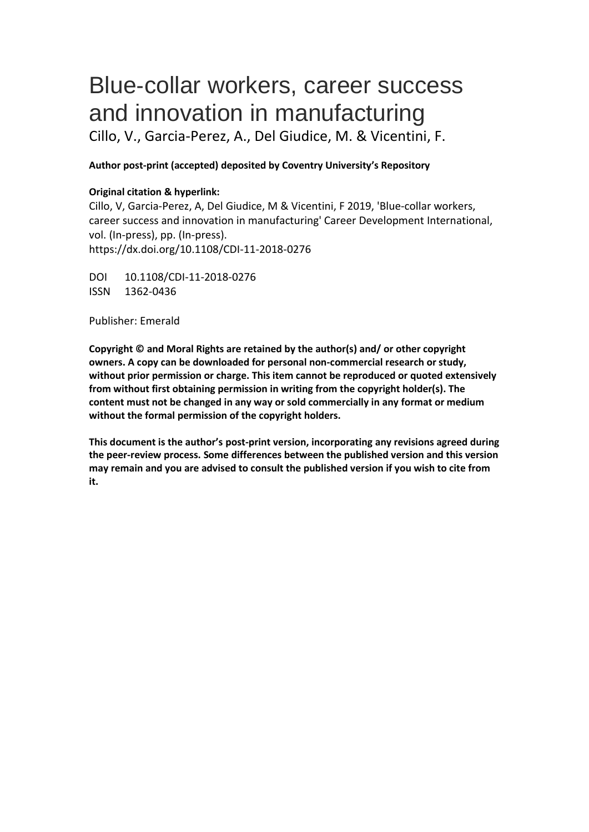# Blue‐collar workers, career success and innovation in manufacturing

Cillo, V., Garcia-Perez, A., Del Giudice, M. & Vicentini, F.

# **Author post-print (accepted) deposited by Coventry University's Repository**

# **Original citation & hyperlink:**

Cillo, V, Garcia-Perez, A, Del Giudice, M & Vicentini, F 2019, 'Blue‐collar workers, career success and innovation in manufacturing' Career Development International, vol. (In-press), pp. (In-press). https://dx.doi.org/10.1108/CDI-11-2018-0276

DOI 10.1108/CDI-11-2018-0276 ISSN 1362-0436

Publisher: Emerald

**Copyright © and Moral Rights are retained by the author(s) and/ or other copyright owners. A copy can be downloaded for personal non-commercial research or study, without prior permission or charge. This item cannot be reproduced or quoted extensively from without first obtaining permission in writing from the copyright holder(s). The content must not be changed in any way or sold commercially in any format or medium without the formal permission of the copyright holders.** 

**This document is the author's post-print version, incorporating any revisions agreed during the peer-review process. Some differences between the published version and this version may remain and you are advised to consult the published version if you wish to cite from it.**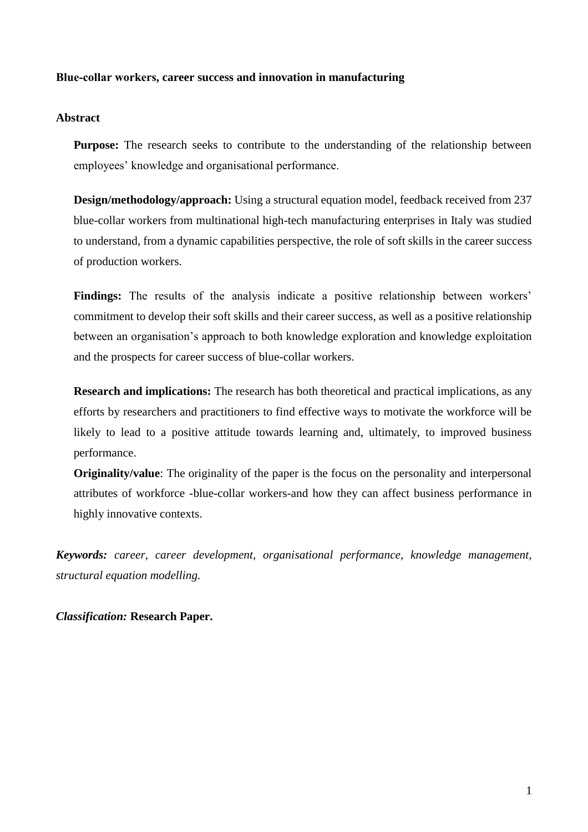# **Blue‐collar workers, career success and innovation in manufacturing**

# **Abstract**

**Purpose:** The research seeks to contribute to the understanding of the relationship between employees' knowledge and organisational performance.

**Design/methodology/approach:** Using a structural equation model, feedback received from 237 blue-collar workers from multinational high-tech manufacturing enterprises in Italy was studied to understand, from a dynamic capabilities perspective, the role of soft skills in the career success of production workers.

**Findings:** The results of the analysis indicate a positive relationship between workers' commitment to develop their soft skills and their career success, as well as a positive relationship between an organisation's approach to both knowledge exploration and knowledge exploitation and the prospects for career success of blue-collar workers.

**Research and implications:** The research has both theoretical and practical implications, as any efforts by researchers and practitioners to find effective ways to motivate the workforce will be likely to lead to a positive attitude towards learning and, ultimately, to improved business performance.

**Originality/value:** The originality of the paper is the focus on the personality and interpersonal attributes of workforce -blue-collar workers-and how they can affect business performance in highly innovative contexts.

*Keywords: career, career development, organisational performance, knowledge management, structural equation modelling.*

*Classification:* **Research Paper.**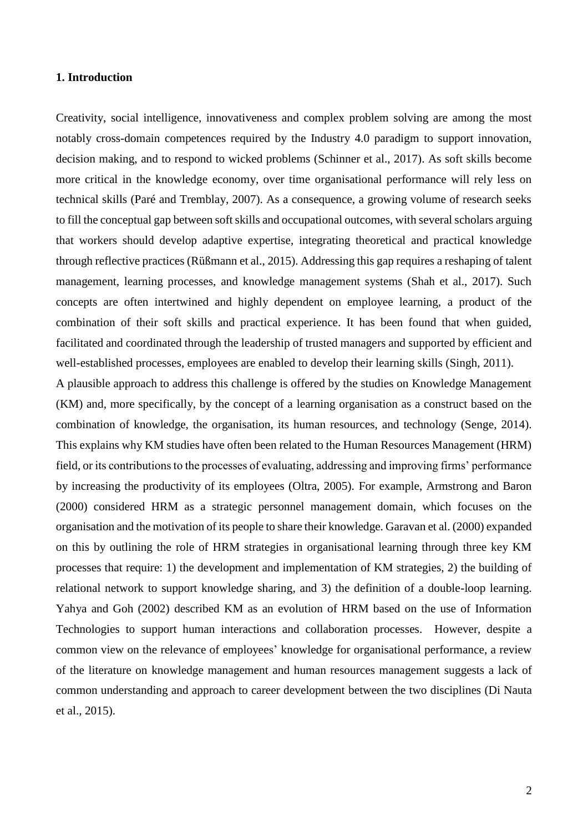## **1. Introduction**

Creativity, social intelligence, innovativeness and complex problem solving are among the most notably cross-domain competences required by the Industry 4.0 paradigm to support innovation, decision making, and to respond to wicked problems (Schinner et al., 2017). As soft skills become more critical in the knowledge economy, over time organisational performance will rely less on technical skills (Paré and Tremblay, 2007). As a consequence, a growing volume of research seeks to fill the conceptual gap between soft skills and occupational outcomes, with several scholars arguing that workers should develop adaptive expertise, integrating theoretical and practical knowledge through reflective practices (Rüßmann et al., 2015). Addressing this gap requires a reshaping of talent management, learning processes, and knowledge management systems (Shah et al., 2017). Such concepts are often intertwined and highly dependent on employee learning, a product of the combination of their soft skills and practical experience. It has been found that when guided, facilitated and coordinated through the leadership of trusted managers and supported by efficient and well-established processes, employees are enabled to develop their learning skills (Singh, 2011).

A plausible approach to address this challenge is offered by the studies on Knowledge Management (KM) and, more specifically, by the concept of a learning organisation as a construct based on the combination of knowledge, the organisation, its human resources, and technology (Senge, 2014). This explains why KM studies have often been related to the Human Resources Management (HRM) field, or its contributions to the processes of evaluating, addressing and improving firms' performance by increasing the productivity of its employees (Oltra, 2005). For example, Armstrong and Baron (2000) considered HRM as a strategic personnel management domain, which focuses on the organisation and the motivation of its people to share their knowledge. Garavan et al. (2000) expanded on this by outlining the role of HRM strategies in organisational learning through three key KM processes that require: 1) the development and implementation of KM strategies, 2) the building of relational network to support knowledge sharing, and 3) the definition of a double-loop learning. Yahya and Goh (2002) described KM as an evolution of HRM based on the use of Information Technologies to support human interactions and collaboration processes. However, despite a common view on the relevance of employees' knowledge for organisational performance, a review of the literature on knowledge management and human resources management suggests a lack of common understanding and approach to career development between the two disciplines (Di Nauta et al., 2015).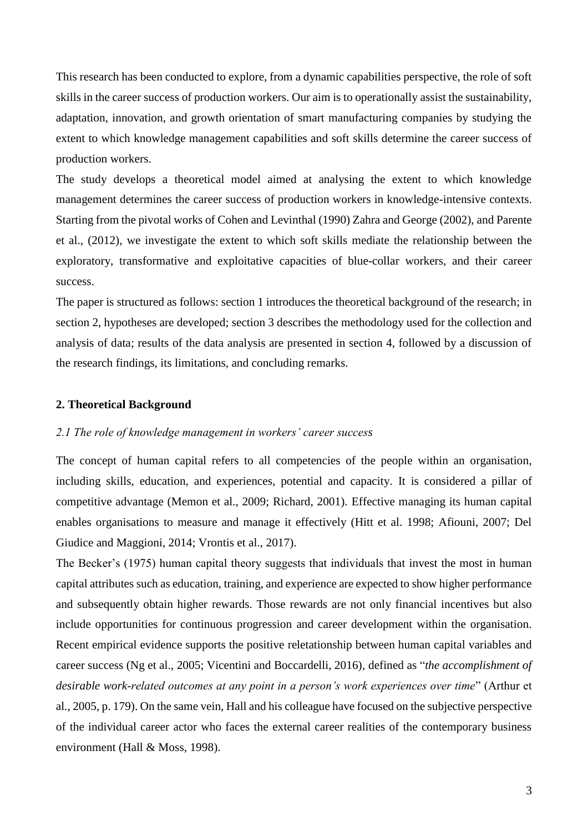This research has been conducted to explore, from a dynamic capabilities perspective, the role of soft skills in the career success of production workers. Our aim is to operationally assist the sustainability, adaptation, innovation, and growth orientation of smart manufacturing companies by studying the extent to which knowledge management capabilities and soft skills determine the career success of production workers.

The study develops a theoretical model aimed at analysing the extent to which knowledge management determines the career success of production workers in knowledge-intensive contexts. Starting from the pivotal works of Cohen and Levinthal (1990) Zahra and George (2002), and Parente et al., (2012), we investigate the extent to which soft skills mediate the relationship between the exploratory, transformative and exploitative capacities of blue-collar workers, and their career success.

The paper is structured as follows: section 1 introduces the theoretical background of the research; in section 2, hypotheses are developed; section 3 describes the methodology used for the collection and analysis of data; results of the data analysis are presented in section 4, followed by a discussion of the research findings, its limitations, and concluding remarks.

#### **2. Theoretical Background**

## *2.1 The role of knowledge management in workers' career success*

The concept of human capital refers to all competencies of the people within an organisation, including skills, education, and experiences, potential and capacity. It is considered a pillar of competitive advantage (Memon et al., 2009; Richard, 2001). Effective managing its human capital enables organisations to measure and manage it effectively (Hitt et al. 1998; Afiouni, 2007; Del Giudice and Maggioni, 2014; Vrontis et al., 2017).

The Becker's (1975) human capital theory suggests that individuals that invest the most in human capital attributes such as education, training, and experience are expected to show higher performance and subsequently obtain higher rewards. Those rewards are not only financial incentives but also include opportunities for continuous progression and career development within the organisation. Recent empirical evidence supports the positive reletationship between human capital variables and career success (Ng et al., 2005; Vicentini and Boccardelli, 2016), defined as "*the accomplishment of desirable work-related outcomes at any point in a person's work experiences over time*" (Arthur et al., 2005, p. 179). On the same vein, Hall and his colleague have focused on the subjective perspective of the individual career actor who faces the external career realities of the contemporary business environment (Hall & Moss, 1998).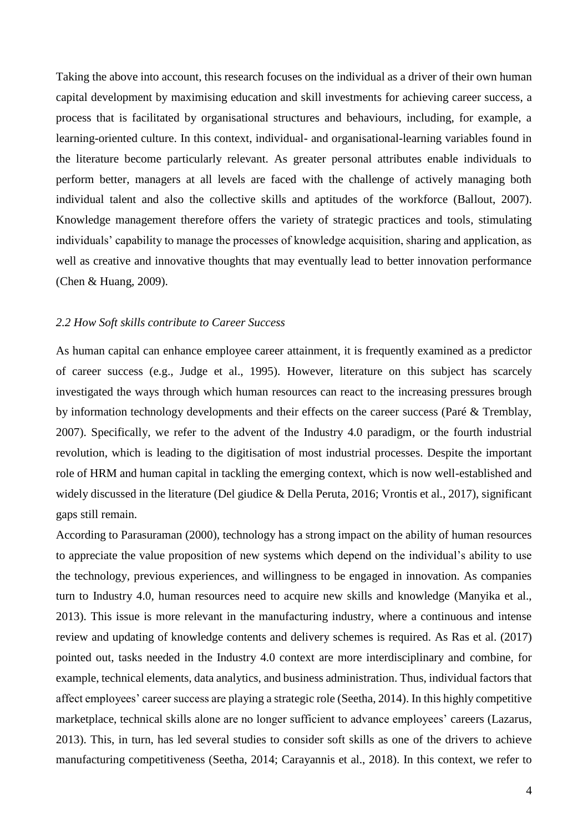Taking the above into account, this research focuses on the individual as a driver of their own human capital development by maximising education and skill investments for achieving career success, a process that is facilitated by organisational structures and behaviours, including, for example, a learning-oriented culture. In this context, individual- and organisational-learning variables found in the literature become particularly relevant. As greater personal attributes enable individuals to perform better, managers at all levels are faced with the challenge of actively managing both individual talent and also the collective skills and aptitudes of the workforce (Ballout, 2007). Knowledge management therefore offers the variety of strategic practices and tools, stimulating individuals' capability to manage the processes of knowledge acquisition, sharing and application, as well as creative and innovative thoughts that may eventually lead to better innovation performance (Chen & Huang, 2009).

## *2.2 How Soft skills contribute to Career Success*

As human capital can enhance employee career attainment, it is frequently examined as a predictor of career success (e.g., Judge et al., 1995). However, literature on this subject has scarcely investigated the ways through which human resources can react to the increasing pressures brough by information technology developments and their effects on the career success (Paré & Tremblay, 2007). Specifically, we refer to the advent of the Industry 4.0 paradigm, or the fourth industrial revolution, which is leading to the digitisation of most industrial processes. Despite the important role of HRM and human capital in tackling the emerging context, which is now well-established and widely discussed in the literature (Del giudice & Della Peruta, 2016; Vrontis et al., 2017), significant gaps still remain.

According to Parasuraman (2000), technology has a strong impact on the ability of human resources to appreciate the value proposition of new systems which depend on the individual's ability to use the technology, previous experiences, and willingness to be engaged in innovation. As companies turn to Industry 4.0, human resources need to acquire new skills and knowledge (Manyika et al., 2013). This issue is more relevant in the manufacturing industry, where a continuous and intense review and updating of knowledge contents and delivery schemes is required. As Ras et al. (2017) pointed out, tasks needed in the Industry 4.0 context are more interdisciplinary and combine, for example, technical elements, data analytics, and business administration. Thus, individual factors that affect employees' career success are playing a strategic role (Seetha, 2014). In this highly competitive marketplace, technical skills alone are no longer sufficient to advance employees' careers (Lazarus, 2013). This, in turn, has led several studies to consider soft skills as one of the drivers to achieve manufacturing competitiveness (Seetha, 2014; Carayannis et al., 2018). In this context, we refer to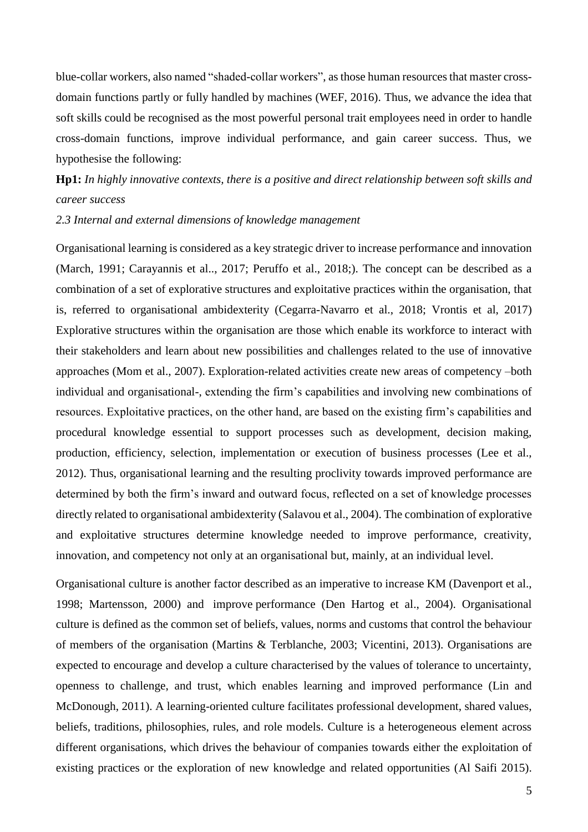blue-collar workers, also named "shaded-collar workers", asthose human resources that master crossdomain functions partly or fully handled by machines (WEF, 2016). Thus, we advance the idea that soft skills could be recognised as the most powerful personal trait employees need in order to handle cross-domain functions, improve individual performance, and gain career success. Thus, we hypothesise the following:

**Hp1:** *In highly innovative contexts, there is a positive and direct relationship between soft skills and career success*

*2.3 Internal and external dimensions of knowledge management* 

Organisational learning is considered as a key strategic driver to increase performance and innovation (March, 1991; Carayannis et al.., 2017; Peruffo et al., 2018;). The concept can be described as a combination of a set of explorative structures and exploitative practices within the organisation, that is, referred to organisational ambidexterity (Cegarra-Navarro et al., 2018; Vrontis et al, 2017) Explorative structures within the organisation are those which enable its workforce to interact with their stakeholders and learn about new possibilities and challenges related to the use of innovative approaches (Mom et al., 2007). Exploration-related activities create new areas of competency –both individual and organisational-, extending the firm's capabilities and involving new combinations of resources. Exploitative practices, on the other hand, are based on the existing firm's capabilities and procedural knowledge essential to support processes such as development, decision making, production, efficiency, selection, implementation or execution of business processes (Lee et al., 2012). Thus, organisational learning and the resulting proclivity towards improved performance are determined by both the firm's inward and outward focus, reflected on a set of knowledge processes directly related to organisational ambidexterity (Salavou et al., 2004). The combination of explorative and exploitative structures determine knowledge needed to improve performance, creativity, innovation, and competency not only at an organisational but, mainly, at an individual level.

Organisational culture is another factor described as an imperative to increase KM (Davenport et al., 1998; Martensson, 2000) and improve performance (Den Hartog et al., 2004). Organisational culture is defined as the common set of beliefs, values, norms and customs that control the behaviour of members of the organisation (Martins & Terblanche, 2003; Vicentini, 2013). Organisations are expected to encourage and develop a culture characterised by the values of tolerance to uncertainty, openness to challenge, and trust, which enables learning and improved performance (Lin and McDonough, 2011). A learning-oriented culture facilitates professional development, shared values, beliefs, traditions, philosophies, rules, and role models. Culture is a heterogeneous element across different organisations, which drives the behaviour of companies towards either the exploitation of existing practices or the exploration of new knowledge and related opportunities (Al Saifi 2015).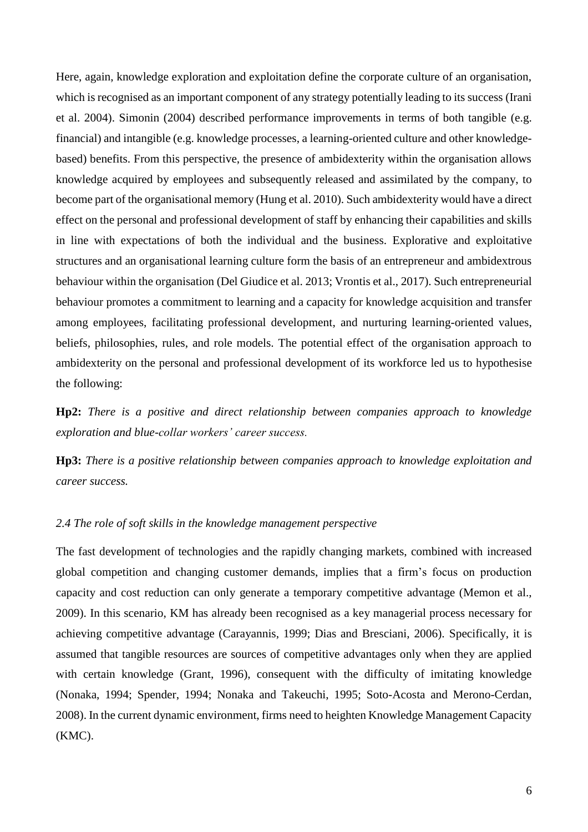Here, again, knowledge exploration and exploitation define the corporate culture of an organisation, which is recognised as an important component of any strategy potentially leading to its success (Irani et al. 2004). Simonin (2004) described performance improvements in terms of both tangible (e.g. financial) and intangible (e.g. knowledge processes, a learning-oriented culture and other knowledgebased) benefits. From this perspective, the presence of ambidexterity within the organisation allows knowledge acquired by employees and subsequently released and assimilated by the company, to become part of the organisational memory (Hung et al. 2010). Such ambidexterity would have a direct effect on the personal and professional development of staff by enhancing their capabilities and skills in line with expectations of both the individual and the business. Explorative and exploitative structures and an organisational learning culture form the basis of an entrepreneur and ambidextrous behaviour within the organisation (Del Giudice et al. 2013; Vrontis et al., 2017). Such entrepreneurial behaviour promotes a commitment to learning and a capacity for knowledge acquisition and transfer among employees, facilitating professional development, and nurturing learning-oriented values, beliefs, philosophies, rules, and role models. The potential effect of the organisation approach to ambidexterity on the personal and professional development of its workforce led us to hypothesise the following:

**Hp2:** *There is a positive and direct relationship between companies approach to knowledge exploration and blue-collar workers' career success.*

**Hp3:** *There is a positive relationship between companies approach to knowledge exploitation and career success.*

#### *2.4 The role of soft skills in the knowledge management perspective*

The fast development of technologies and the rapidly changing markets, combined with increased global competition and changing customer demands, implies that a firm's focus on production capacity and cost reduction can only generate a temporary competitive advantage (Memon et al., 2009). In this scenario, KM has already been recognised as a key managerial process necessary for achieving competitive advantage (Carayannis, 1999; Dias and Bresciani, 2006). Specifically, it is assumed that tangible resources are sources of competitive advantages only when they are applied with certain knowledge (Grant, 1996), consequent with the difficulty of imitating knowledge (Nonaka, 1994; Spender, 1994; Nonaka and Takeuchi, 1995; Soto-Acosta and Merono-Cerdan, 2008). In the current dynamic environment, firms need to heighten Knowledge Management Capacity (KMC).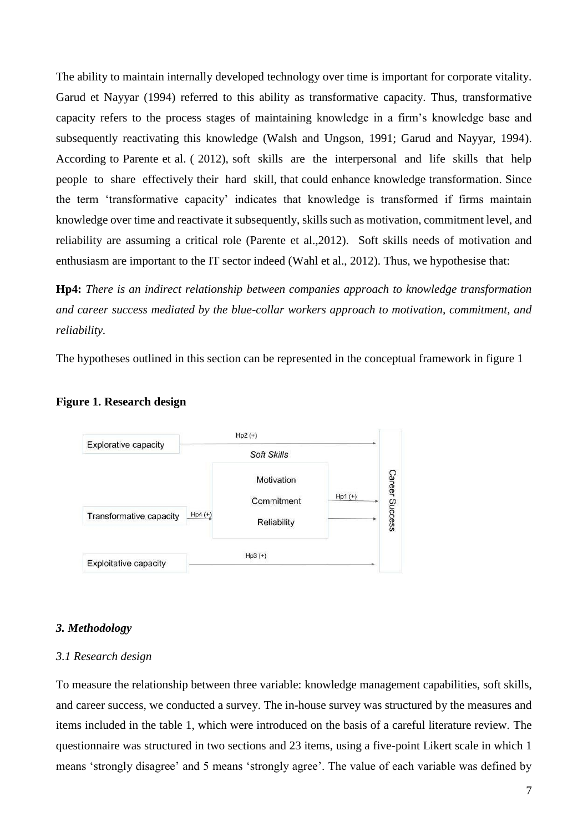The ability to maintain internally developed technology over time is important for corporate vitality. Garud et Nayyar (1994) referred to this ability as transformative capacity. Thus, transformative capacity refers to the process stages of maintaining knowledge in a firm's knowledge base and subsequently reactivating this knowledge (Walsh and Ungson, 1991; Garud and Nayyar, 1994). According to Parente et al. ( 2012), soft skills are the interpersonal and life skills that help people to share effectively their hard skill, that could enhance knowledge transformation. Since the term 'transformative capacity' indicates that knowledge is transformed if firms maintain knowledge over time and reactivate it subsequently, skills such as motivation, commitment level, and reliability are assuming a critical role (Parente et al.,2012). Soft skills needs of motivation and enthusiasm are important to the IT sector indeed (Wahl et al., 2012). Thus, we hypothesise that:

**Hp4:** *There is an indirect relationship between companies approach to knowledge transformation and career success mediated by the blue-collar workers approach to motivation, commitment, and reliability.*

The hypotheses outlined in this section can be represented in the conceptual framework in figure 1



#### **Figure 1. Research design**

#### *3. Methodology*

#### *3.1 Research design*

To measure the relationship between three variable: knowledge management capabilities, soft skills, and career success, we conducted a survey. The in-house survey was structured by the measures and items included in the table 1, which were introduced on the basis of a careful literature review. The questionnaire was structured in two sections and 23 items, using a five-point Likert scale in which 1 means 'strongly disagree' and 5 means 'strongly agree'. The value of each variable was defined by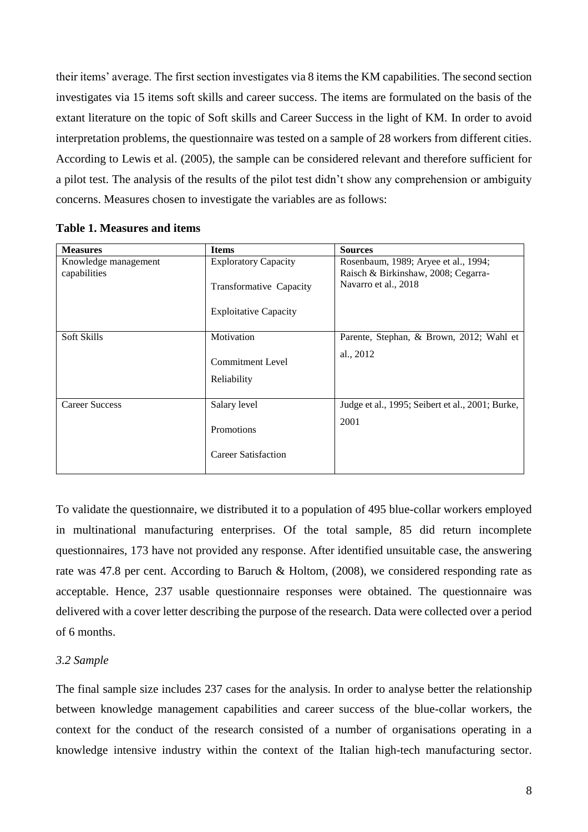their items' average. The first section investigates via 8 items the KM capabilities. The second section investigates via 15 items soft skills and career success. The items are formulated on the basis of the extant literature on the topic of Soft skills and Career Success in the light of KM. In order to avoid interpretation problems, the questionnaire was tested on a sample of 28 workers from different cities. According to Lewis et al. (2005), the sample can be considered relevant and therefore sufficient for a pilot test. The analysis of the results of the pilot test didn't show any comprehension or ambiguity concerns. Measures chosen to investigate the variables are as follows:

| <b>Measures</b>       | <b>Items</b>                             | <b>Sources</b>                                   |
|-----------------------|------------------------------------------|--------------------------------------------------|
| Knowledge management  | <b>Exploratory Capacity</b>              | Rosenbaum, 1989; Aryee et al., 1994;             |
| capabilities          |                                          | Raisch & Birkinshaw, 2008; Cegarra-              |
|                       | Transformative Capacity                  | Navarro et al., 2018                             |
|                       | <b>Exploitative Capacity</b>             |                                                  |
| Soft Skills           | Motivation                               | Parente, Stephan, & Brown, 2012; Wahl et         |
|                       | <b>Commitment Level</b><br>Reliability   | al., 2012                                        |
| <b>Career Success</b> | Salary level                             | Judge et al., 1995; Seibert et al., 2001; Burke, |
|                       | Promotions<br><b>Career Satisfaction</b> | 2001                                             |

# **Table 1. Measures and items**

To validate the questionnaire, we distributed it to a population of 495 blue-collar workers employed in multinational manufacturing enterprises. Of the total sample, 85 did return incomplete questionnaires, 173 have not provided any response. After identified unsuitable case, the answering rate was 47.8 per cent. According to Baruch & Holtom, (2008), we considered responding rate as acceptable. Hence, 237 usable questionnaire responses were obtained. The questionnaire was delivered with a cover letter describing the purpose of the research. Data were collected over a period of 6 months.

# *3.2 Sample*

The final sample size includes 237 cases for the analysis. In order to analyse better the relationship between knowledge management capabilities and career success of the blue-collar workers, the context for the conduct of the research consisted of a number of organisations operating in a knowledge intensive industry within the context of the Italian high-tech manufacturing sector.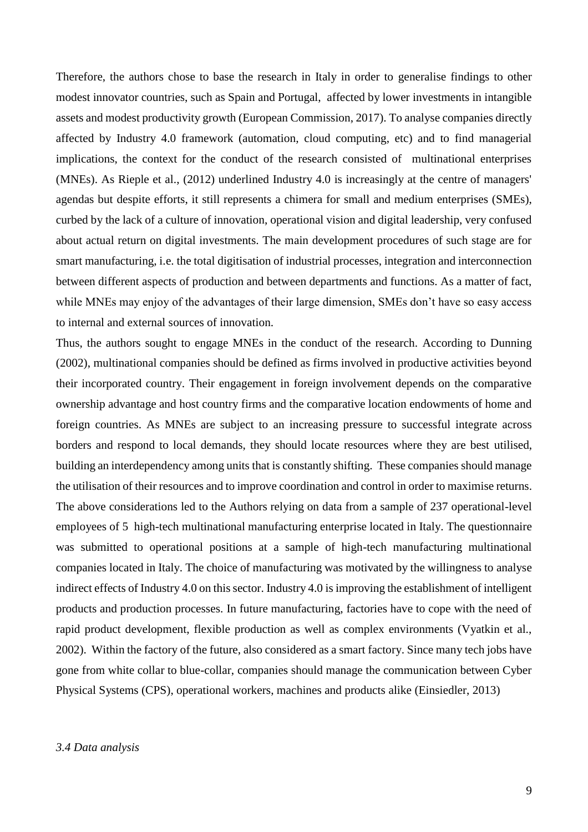Therefore, the authors chose to base the research in Italy in order to generalise findings to other modest innovator countries, such as Spain and Portugal, affected by lower investments in intangible assets and modest productivity growth (European Commission, 2017). To analyse companies directly affected by Industry 4.0 framework (automation, cloud computing, etc) and to find managerial implications, the context for the conduct of the research consisted of multinational enterprises (MNEs). As Rieple et al., (2012) underlined Industry 4.0 is increasingly at the centre of managers' agendas but despite efforts, it still represents a chimera for small and medium enterprises (SMEs), curbed by the lack of a culture of innovation, operational vision and digital leadership, very confused about actual return on digital investments. The main development procedures of such stage are for smart manufacturing, i.e. the total digitisation of industrial processes, integration and interconnection between different aspects of production and between departments and functions. As a matter of fact, while MNEs may enjoy of the advantages of their large dimension, SMEs don't have so easy access to internal and external sources of innovation.

Thus, the authors sought to engage MNEs in the conduct of the research. According to Dunning (2002), multinational companies should be defined as firms involved in productive activities beyond their incorporated country. Their engagement in foreign involvement depends on the comparative ownership advantage and host country firms and the comparative location endowments of home and foreign countries. As MNEs are subject to an increasing pressure to successful integrate across borders and respond to local demands, they should locate resources where they are best utilised, building an interdependency among units that is constantly shifting. These companies should manage the utilisation of their resources and to improve coordination and control in order to maximise returns. The above considerations led to the Authors relying on data from a sample of 237 operational-level employees of 5 high-tech multinational manufacturing enterprise located in Italy. The questionnaire was submitted to operational positions at a sample of high-tech manufacturing multinational companies located in Italy. The choice of manufacturing was motivated by the willingness to analyse indirect effects of Industry 4.0 on this sector. Industry 4.0 is improving the establishment of intelligent products and production processes. In future manufacturing, factories have to cope with the need of rapid product development, flexible production as well as complex environments (Vyatkin et al., 2002). Within the factory of the future, also considered as a smart factory. Since many tech jobs have gone from white collar to blue-collar, companies should manage the communication between Cyber Physical Systems (CPS), operational workers, machines and products alike (Einsiedler, 2013)

#### *3.4 Data analysis*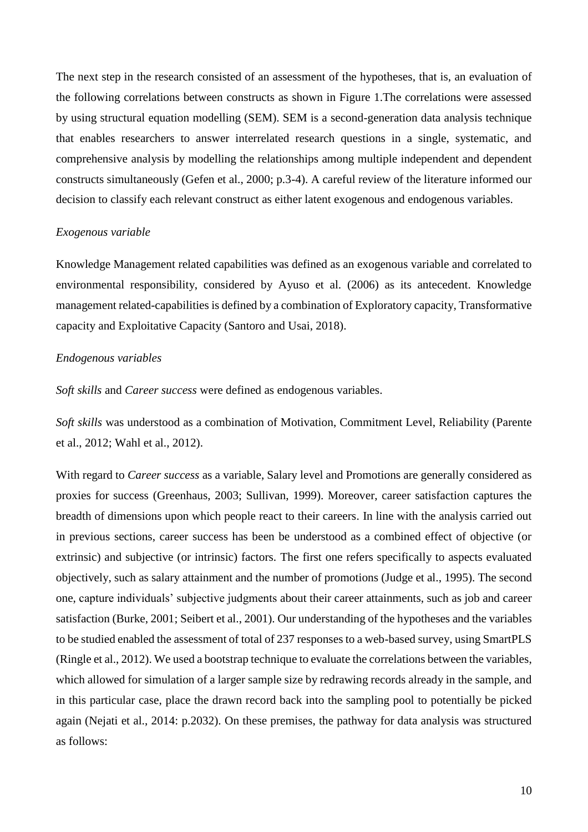The next step in the research consisted of an assessment of the hypotheses, that is, an evaluation of the following correlations between constructs as shown in Figure 1.The correlations were assessed by using structural equation modelling (SEM). SEM is a second-generation data analysis technique that enables researchers to answer interrelated research questions in a single, systematic, and comprehensive analysis by modelling the relationships among multiple independent and dependent constructs simultaneously (Gefen et al., 2000; p.3-4). A careful review of the literature informed our decision to classify each relevant construct as either latent exogenous and endogenous variables.

## *Exogenous variable*

Knowledge Management related capabilities was defined as an exogenous variable and correlated to environmental responsibility, considered by Ayuso et al. (2006) as its antecedent. Knowledge management related-capabilities is defined by a combination of Exploratory capacity, Transformative capacity and Exploitative Capacity (Santoro and Usai, 2018).

# *Endogenous variables*

*Soft skills* and *Career success* were defined as endogenous variables.

*Soft skills* was understood as a combination of Motivation, Commitment Level, Reliability (Parente et al., 2012; Wahl et al., 2012).

With regard to *Career success* as a variable, Salary level and Promotions are generally considered as proxies for success (Greenhaus, 2003; Sullivan, 1999). Moreover, career satisfaction captures the breadth of dimensions upon which people react to their careers. In line with the analysis carried out in previous sections, career success has been be understood as a combined effect of objective (or extrinsic) and subjective (or intrinsic) factors. The first one refers specifically to aspects evaluated objectively, such as salary attainment and the number of promotions (Judge et al., 1995). The second one, capture individuals' subjective judgments about their career attainments, such as job and career satisfaction (Burke, 2001; Seibert et al., 2001). Our understanding of the hypotheses and the variables to be studied enabled the assessment of total of 237 responses to a web-based survey, using SmartPLS (Ringle et al., 2012). We used a bootstrap technique to evaluate the correlations between the variables, which allowed for simulation of a larger sample size by redrawing records already in the sample, and in this particular case, place the drawn record back into the sampling pool to potentially be picked again (Nejati et al., 2014: p.2032). On these premises, the pathway for data analysis was structured as follows: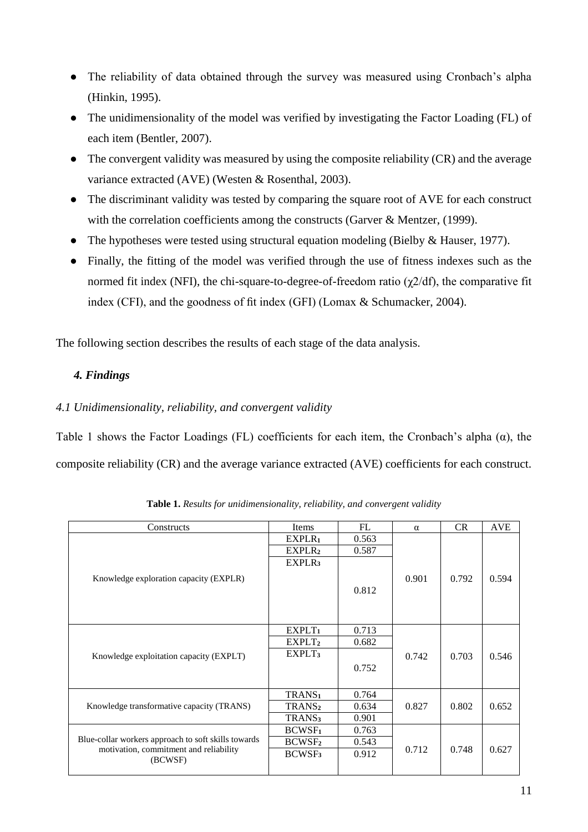- The reliability of data obtained through the survey was measured using Cronbach's alpha (Hinkin, 1995).
- The unidimensionality of the model was verified by investigating the Factor Loading (FL) of each item (Bentler, 2007).
- The convergent validity was measured by using the composite reliability (CR) and the average variance extracted (AVE) (Westen & Rosenthal, 2003).
- The discriminant validity was tested by comparing the square root of AVE for each construct with the correlation coefficients among the constructs (Garver & Mentzer, (1999).
- The hypotheses were tested using structural equation modeling (Bielby & Hauser, 1977).
- Finally, the fitting of the model was verified through the use of fitness indexes such as the normed fit index (NFI), the chi-square-to-degree-of-freedom ratio ( $χ$ 2/df), the comparative fit index (CFI), and the goodness of fit index (GFI) (Lomax & Schumacker, 2004).

The following section describes the results of each stage of the data analysis.

# *4. Findings*

# *4.1 Unidimensionality, reliability, and convergent validity*

Table 1 shows the Factor Loadings (FL) coefficients for each item, the Cronbach's alpha (α), the composite reliability (CR) and the average variance extracted (AVE) coefficients for each construct.

| Constructs                                          | Items              | FL    | $\alpha$ | <b>CR</b> | <b>AVE</b> |
|-----------------------------------------------------|--------------------|-------|----------|-----------|------------|
|                                                     | EXPLR <sub>1</sub> | 0.563 |          |           |            |
|                                                     | EXPLR <sub>2</sub> | 0.587 |          |           |            |
|                                                     | EXPLR <sub>3</sub> |       |          |           |            |
| Knowledge exploration capacity (EXPLR)              |                    |       | 0.901    | 0.792     | 0.594      |
|                                                     |                    | 0.812 |          |           |            |
|                                                     |                    |       |          |           |            |
|                                                     |                    |       |          |           |            |
|                                                     | EXPLT <sub>1</sub> | 0.713 |          |           |            |
|                                                     |                    |       |          |           |            |
|                                                     | EXPLT <sub>2</sub> | 0.682 |          |           |            |
| Knowledge exploitation capacity (EXPLT)             | EXPLT <sub>3</sub> |       | 0.742    | 0.703     | 0.546      |
|                                                     |                    | 0.752 |          |           |            |
|                                                     |                    |       |          |           |            |
|                                                     | TRANS <sub>1</sub> | 0.764 |          |           |            |
| Knowledge transformative capacity (TRANS)           | TRANS <sub>2</sub> | 0.634 | 0.827    | 0.802     | 0.652      |
|                                                     | TRANS <sub>3</sub> | 0.901 |          |           |            |
|                                                     | <b>BCWSF1</b>      | 0.763 |          |           |            |
| Blue-collar workers approach to soft skills towards | BCWSF <sub>2</sub> | 0.543 |          |           |            |
| motivation, commitment and reliability              | BCWSF <sub>3</sub> | 0.912 | 0.712    | 0.748     | 0.627      |
| (BCWSF)                                             |                    |       |          |           |            |

**Table 1.** *Results for unidimensionality, reliability, and convergent validity*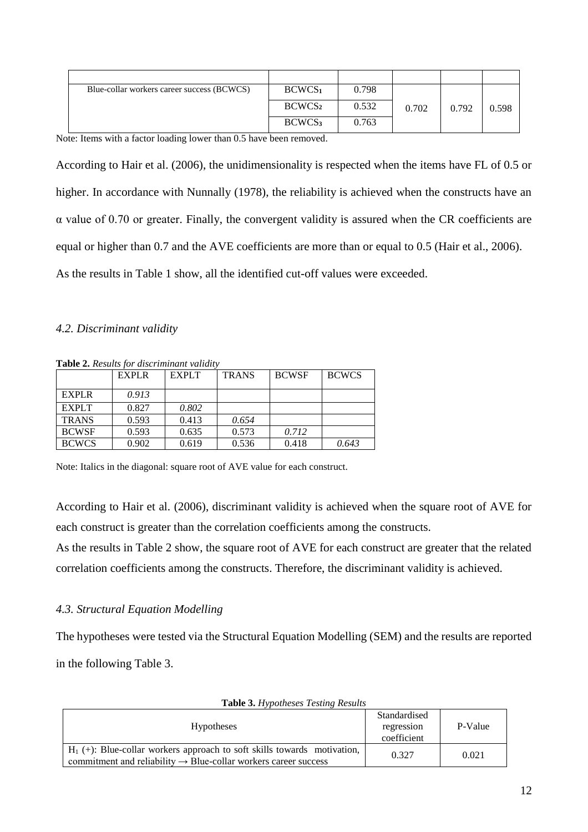| Blue-collar workers career success (BCWCS) | BCWCS <sub>1</sub> | 0.798 |       |       |       |
|--------------------------------------------|--------------------|-------|-------|-------|-------|
|                                            | BCWCS <sub>2</sub> | 0.532 | 0.702 | 0.792 | 0.598 |
|                                            | BCWCS <sub>3</sub> | 0.763 |       |       |       |

Note: Items with a factor loading lower than 0.5 have been removed.

According to Hair et al. (2006), the unidimensionality is respected when the items have FL of 0.5 or higher. In accordance with Nunnally (1978), the reliability is achieved when the constructs have an α value of 0.70 or greater. Finally, the convergent validity is assured when the CR coefficients are equal or higher than 0.7 and the AVE coefficients are more than or equal to 0.5 (Hair et al., 2006). As the results in Table 1 show, all the identified cut-off values were exceeded.

#### *4.2. Discriminant validity*

|              | EXPLR | <b>EXPLT</b> | <b>TRANS</b> | <b>BCWSF</b> | <b>BCWCS</b> |
|--------------|-------|--------------|--------------|--------------|--------------|
| <b>EXPLR</b> | 0.913 |              |              |              |              |
| <b>EXPLT</b> | 0.827 | 0.802        |              |              |              |
| <b>TRANS</b> | 0.593 | 0.413        | 0.654        |              |              |
| <b>BCWSF</b> | 0.593 | 0.635        | 0.573        | 0.712        |              |
| <b>BCWCS</b> | 0.902 | 0.619        | 0.536        | 0.418        | 0.643        |

**Table 2.** *Results for discriminant validity*

Note: Italics in the diagonal: square root of AVE value for each construct.

According to Hair et al. (2006), discriminant validity is achieved when the square root of AVE for each construct is greater than the correlation coefficients among the constructs.

As the results in Table 2 show, the square root of AVE for each construct are greater that the related correlation coefficients among the constructs. Therefore, the discriminant validity is achieved.

# *4.3. Structural Equation Modelling*

The hypotheses were tested via the Structural Equation Modelling (SEM) and the results are reported in the following Table 3.

| <b>Hypotheses</b>                                                                                                                                         | Standardised<br>regression<br>coefficient | P-Value |
|-----------------------------------------------------------------------------------------------------------------------------------------------------------|-------------------------------------------|---------|
| $H_1$ (+): Blue-collar workers approach to soft skills towards motivation,<br>commitment and reliability $\rightarrow$ Blue-collar workers career success | 0.327                                     | 0.021   |

**Table 3.** *Hypotheses Testing Results*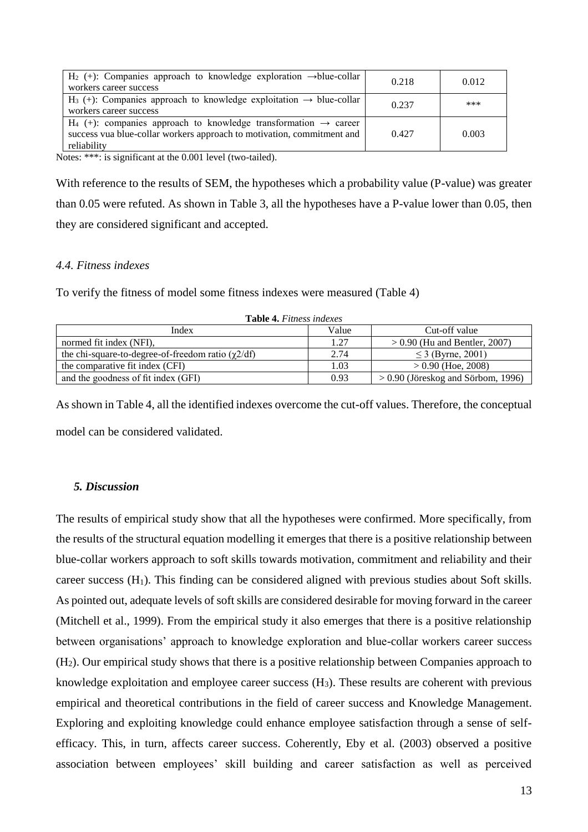| $H_2$ (+): Companies approach to knowledge exploration $\rightarrow$ blue-collar<br>workers career success                                                              | 0.218 | 0.012 |
|-------------------------------------------------------------------------------------------------------------------------------------------------------------------------|-------|-------|
| $H_3$ (+): Companies approach to knowledge exploitation $\rightarrow$ blue-collar<br>workers career success                                                             | 0.237 | ***   |
| $H_4$ (+): companies approach to knowledge transformation $\rightarrow$ career<br>success vua blue-collar workers approach to motivation, commitment and<br>reliability | 0.427 | 0.003 |

Notes: \*\*\*: is significant at the 0.001 level (two-tailed).

With reference to the results of SEM, the hypotheses which a probability value (P-value) was greater than 0.05 were refuted. As shown in Table 3, all the hypotheses have a P-value lower than 0.05, then they are considered significant and accepted.

# *4.4. Fitness indexes*

To verify the fitness of model some fitness indexes were measured (Table 4)

| <b>LADIC T.</b> I <i>liness matrics</i>                 |       |                                      |  |  |
|---------------------------------------------------------|-------|--------------------------------------|--|--|
| Index                                                   | Value | Cut-off value                        |  |  |
| normed fit index (NFI).                                 | 1.27  | $> 0.90$ (Hu and Bentler, 2007)      |  |  |
| the chi-square-to-degree-of-freedom ratio $(\chi 2/df)$ | 2.74  | $\leq$ 3 (Byrne, 2001)               |  |  |
| the comparative fit index (CFI)                         | 1.03  | $> 0.90$ (Hoe, 2008)                 |  |  |
| and the goodness of fit index (GFI)                     | 0.93  | $> 0.90$ (Jöreskog and Sörbom, 1996) |  |  |

**Table 4.** *Fitness indexes*

As shown in Table 4, all the identified indexes overcome the cut-off values. Therefore, the conceptual model can be considered validated.

## *5. Discussion*

The results of empirical study show that all the hypotheses were confirmed. More specifically, from the results of the structural equation modelling it emerges that there is a positive relationship between blue-collar workers approach to soft skills towards motivation, commitment and reliability and their career success (H1). This finding can be considered aligned with previous studies about Soft skills. As pointed out, adequate levels of soft skills are considered desirable for moving forward in the career (Mitchell et al., 1999). From the empirical study it also emerges that there is a positive relationship between organisations' approach to knowledge exploration and blue-collar workers career success (H2). Our empirical study shows that there is a positive relationship between Companies approach to knowledge exploitation and employee career success (H3). These results are coherent with previous empirical and theoretical contributions in the field of career success and Knowledge Management. Exploring and exploiting knowledge could enhance employee satisfaction through a sense of selfefficacy. This, in turn, affects career success. Coherently, Eby et al. (2003) observed a positive association between employees' skill building and career satisfaction as well as perceived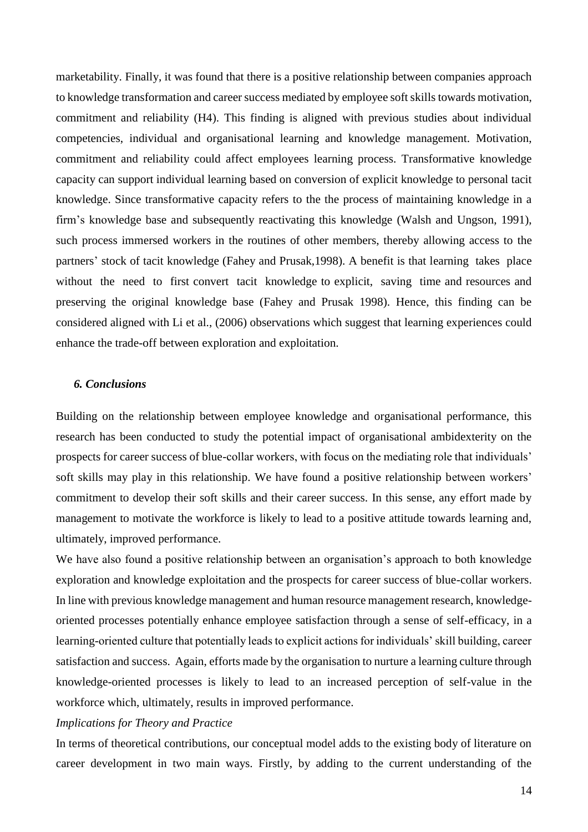marketability. Finally, it was found that there is a positive relationship between companies approach to knowledge transformation and career success mediated by employee soft skills towards motivation, commitment and reliability (H4). This finding is aligned with previous studies about individual competencies, individual and organisational learning and knowledge management. Motivation, commitment and reliability could affect employees learning process. Transformative knowledge capacity can support individual learning based on conversion of explicit knowledge to personal tacit knowledge. Since transformative capacity refers to the the process of maintaining knowledge in a firm's knowledge base and subsequently reactivating this knowledge (Walsh and Ungson, 1991), such process immersed workers in the routines of other members, thereby allowing access to the partners' stock of tacit knowledge (Fahey and Prusak,1998). A benefit is that learning takes place without the need to first convert tacit knowledge to explicit, saving time and resources and preserving the original knowledge base (Fahey and Prusak 1998). Hence, this finding can be considered aligned with Li et al., (2006) observations which suggest that learning experiences could enhance the trade-off between exploration and exploitation.

# *6. Conclusions*

Building on the relationship between employee knowledge and organisational performance, this research has been conducted to study the potential impact of organisational ambidexterity on the prospects for career success of blue-collar workers, with focus on the mediating role that individuals' soft skills may play in this relationship. We have found a positive relationship between workers' commitment to develop their soft skills and their career success. In this sense, any effort made by management to motivate the workforce is likely to lead to a positive attitude towards learning and, ultimately, improved performance.

We have also found a positive relationship between an organisation's approach to both knowledge exploration and knowledge exploitation and the prospects for career success of blue-collar workers. In line with previous knowledge management and human resource management research, knowledgeoriented processes potentially enhance employee satisfaction through a sense of self-efficacy, in a learning-oriented culture that potentially leads to explicit actions for individuals' skill building, career satisfaction and success. Again, efforts made by the organisation to nurture a learning culture through knowledge-oriented processes is likely to lead to an increased perception of self-value in the workforce which, ultimately, results in improved performance.

## *Implications for Theory and Practice*

In terms of theoretical contributions, our conceptual model adds to the existing body of literature on career development in two main ways. Firstly, by adding to the current understanding of the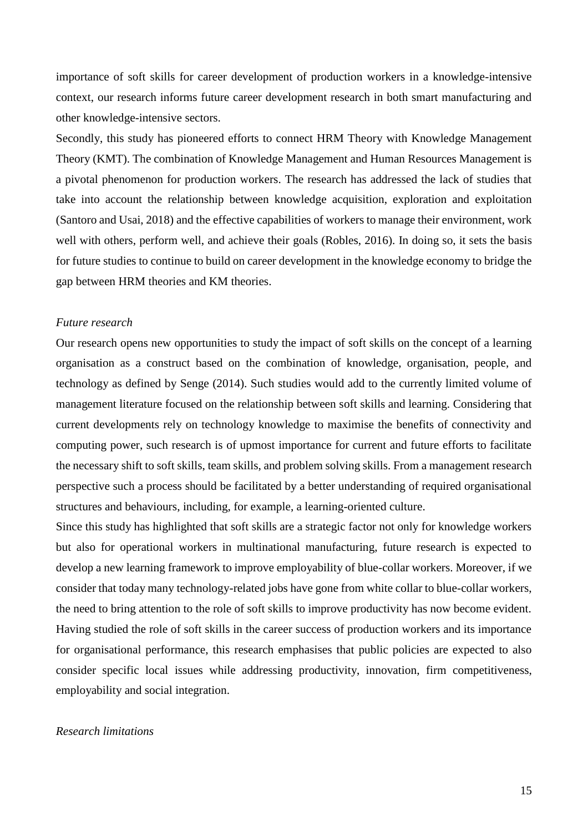importance of soft skills for career development of production workers in a knowledge-intensive context, our research informs future career development research in both smart manufacturing and other knowledge-intensive sectors.

Secondly, this study has pioneered efforts to connect HRM Theory with Knowledge Management Theory (KMT). The combination of Knowledge Management and Human Resources Management is a pivotal phenomenon for production workers. The research has addressed the lack of studies that take into account the relationship between knowledge acquisition, exploration and exploitation (Santoro and Usai, 2018) and the effective capabilities of workers to manage their environment, work well with others, perform well, and achieve their goals (Robles, 2016). In doing so, it sets the basis for future studies to continue to build on career development in the knowledge economy to bridge the gap between HRM theories and KM theories.

# *Future research*

Our research opens new opportunities to study the impact of soft skills on the concept of a learning organisation as a construct based on the combination of knowledge, organisation, people, and technology as defined by Senge (2014). Such studies would add to the currently limited volume of management literature focused on the relationship between soft skills and learning. Considering that current developments rely on technology knowledge to maximise the benefits of connectivity and computing power, such research is of upmost importance for current and future efforts to facilitate the necessary shift to soft skills, team skills, and problem solving skills. From a management research perspective such a process should be facilitated by a better understanding of required organisational structures and behaviours, including, for example, a learning-oriented culture.

Since this study has highlighted that soft skills are a strategic factor not only for knowledge workers but also for operational workers in multinational manufacturing, future research is expected to develop a new learning framework to improve employability of blue-collar workers. Moreover, if we consider that today many technology-related jobs have gone from white collar to blue-collar workers, the need to bring attention to the role of soft skills to improve productivity has now become evident. Having studied the role of soft skills in the career success of production workers and its importance for organisational performance, this research emphasises that public policies are expected to also consider specific local issues while addressing productivity, innovation, firm competitiveness, employability and social integration.

# *Research limitations*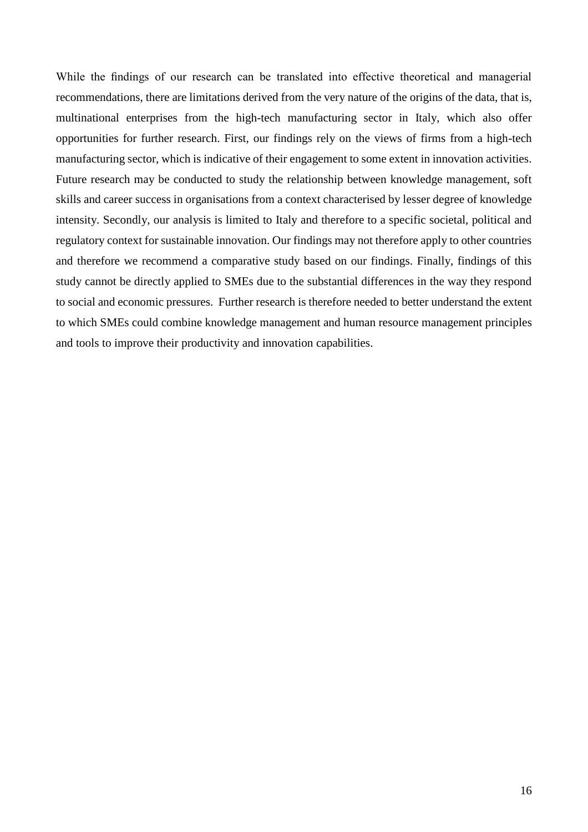While the findings of our research can be translated into effective theoretical and managerial recommendations, there are limitations derived from the very nature of the origins of the data, that is, multinational enterprises from the high-tech manufacturing sector in Italy, which also offer opportunities for further research. First, our findings rely on the views of firms from a high-tech manufacturing sector, which is indicative of their engagement to some extent in innovation activities. Future research may be conducted to study the relationship between knowledge management, soft skills and career success in organisations from a context characterised by lesser degree of knowledge intensity. Secondly, our analysis is limited to Italy and therefore to a specific societal, political and regulatory context for sustainable innovation. Our findings may not therefore apply to other countries and therefore we recommend a comparative study based on our findings. Finally, findings of this study cannot be directly applied to SMEs due to the substantial differences in the way they respond to social and economic pressures. Further research is therefore needed to better understand the extent to which SMEs could combine knowledge management and human resource management principles and tools to improve their productivity and innovation capabilities.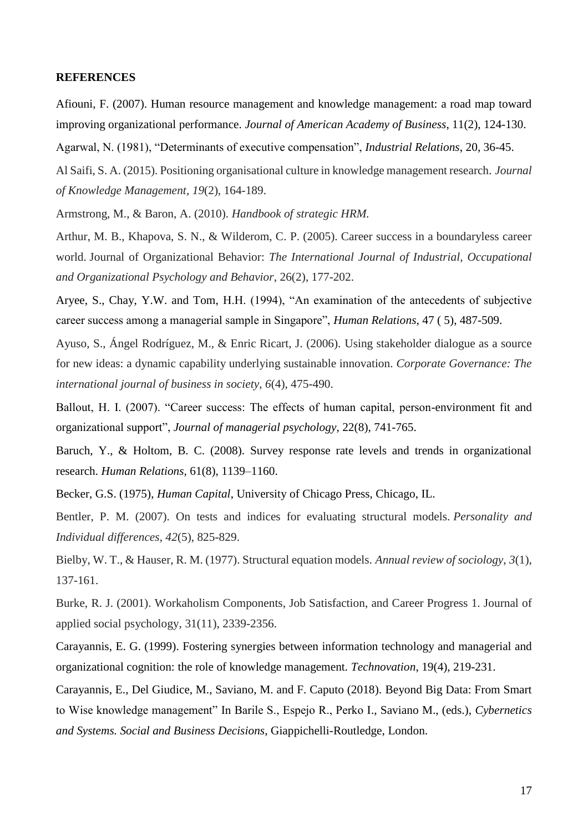# **REFERENCES**

Afiouni, F. (2007). Human resource management and knowledge management: a road map toward improving organizational performance. *Journal of American Academy of Business*, 11(2), 124-130.

Agarwal, N. (1981), "Determinants of executive compensation", *Industrial Relations*, 20, 36-45.

Al Saifi, S. A. (2015). Positioning organisational culture in knowledge management research. *Journal of Knowledge Management*, *19*(2), 164-189.

Armstrong, M., & Baron, A. (2010). *Handbook of strategic HRM.*

Arthur, M. B., Khapova, S. N., & Wilderom, C. P. (2005). Career success in a boundaryless career world. Journal of Organizational Behavior: *The International Journal of Industrial, Occupational and Organizational Psychology and Behavior*, 26(2), 177-202.

Aryee, S., Chay, Y.W. and Tom, H.H. (1994), "An examination of the antecedents of subjective career success among a managerial sample in Singapore", *Human Relations*, 47 ( 5), 487-509.

Ayuso, S., Ángel Rodríguez, M., & Enric Ricart, J. (2006). Using stakeholder dialogue as a source for new ideas: a dynamic capability underlying sustainable innovation. *Corporate Governance: The international journal of business in society*, *6*(4), 475-490.

Ballout, H. I. (2007). "Career success: The effects of human capital, person-environment fit and organizational support", *Journal of managerial psychology*, 22(8), 741-765.

Baruch, Y., & Holtom, B. C. (2008). Survey response rate levels and trends in organizational research. *Human Relations,* 61(8), 1139–1160.

Becker, G.S. (1975), *Human Capital*, University of Chicago Press, Chicago, IL.

Bentler, P. M. (2007). On tests and indices for evaluating structural models. *Personality and Individual differences*, *42*(5), 825-829.

Bielby, W. T., & Hauser, R. M. (1977). Structural equation models. *Annual review of sociology*, *3*(1), 137-161.

Burke, R. J. (2001). Workaholism Components, Job Satisfaction, and Career Progress 1. Journal of applied social psychology, 31(11), 2339-2356.

Carayannis, E. G. (1999). Fostering synergies between information technology and managerial and organizational cognition: the role of knowledge management*. Technovation*, 19(4), 219-231.

Carayannis, E., Del Giudice, M., Saviano, M. and F. Caputo (2018). Beyond Big Data: From Smart to Wise knowledge management" In Barile S., Espejo R., Perko I., Saviano M., (eds.), *Cybernetics and Systems. Social and Business Decisions*, Giappichelli-Routledge, London.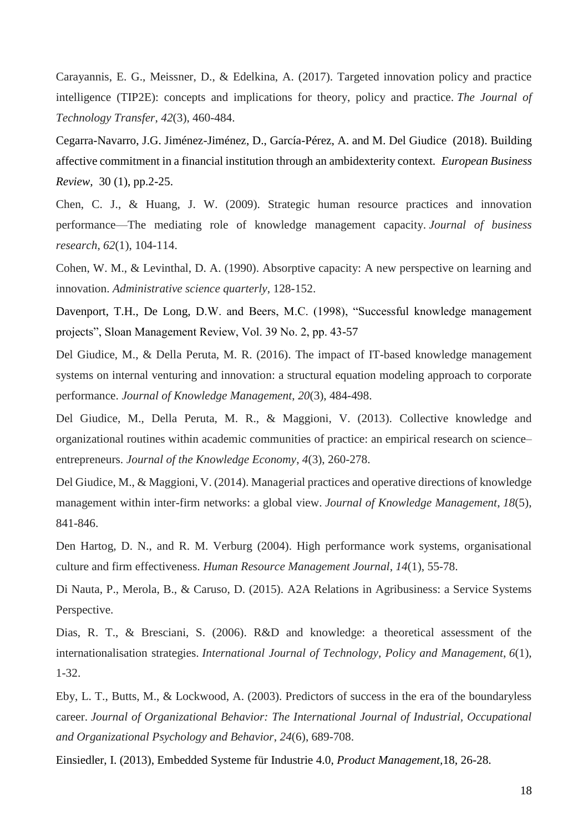Carayannis, E. G., Meissner, D., & Edelkina, A. (2017). Targeted innovation policy and practice intelligence (TIP2E): concepts and implications for theory, policy and practice. *The Journal of Technology Transfer*, *42*(3), 460-484.

Cegarra-Navarro, J.G. Jiménez-Jiménez, D., García-Pérez, A. and M. Del Giudice (2018). Building affective commitment in a financial institution through an ambidexterity context. *European Business Review,* 30 (1), pp.2-25.

Chen, C. J., & Huang, J. W. (2009). Strategic human resource practices and innovation performance—The mediating role of knowledge management capacity. *Journal of business research*, *62*(1), 104-114.

Cohen, W. M., & Levinthal, D. A. (1990). Absorptive capacity: A new perspective on learning and innovation. *Administrative science quarterly*, 128-152.

Davenport, T.H., De Long, D.W. and Beers, M.C. (1998), "Successful knowledge management projects", Sloan Management Review, Vol. 39 No. 2, pp. 43-57

Del Giudice, M., & Della Peruta, M. R. (2016). The impact of IT-based knowledge management systems on internal venturing and innovation: a structural equation modeling approach to corporate performance. *Journal of Knowledge Management*, *20*(3), 484-498.

Del Giudice, M., Della Peruta, M. R., & Maggioni, V. (2013). Collective knowledge and organizational routines within academic communities of practice: an empirical research on science– entrepreneurs. *Journal of the Knowledge Economy*, *4*(3), 260-278.

Del Giudice, M., & Maggioni, V. (2014). Managerial practices and operative directions of knowledge management within inter-firm networks: a global view. *Journal of Knowledge Management*, *18*(5), 841-846.

Den Hartog, D. N., and R. M. Verburg (2004). High performance work systems, organisational culture and firm effectiveness. *Human Resource Management Journal*, *14*(1), 55-78.

Di Nauta, P., Merola, B., & Caruso, D. (2015). A2A Relations in Agribusiness: a Service Systems Perspective.

Dias, R. T., & Bresciani, S. (2006). R&D and knowledge: a theoretical assessment of the internationalisation strategies. *International Journal of Technology, Policy and Management*, *6*(1), 1-32.

Eby, L. T., Butts, M., & Lockwood, A. (2003). Predictors of success in the era of the boundaryless career. *Journal of Organizational Behavior: The International Journal of Industrial, Occupational and Organizational Psychology and Behavior*, *24*(6), 689-708.

Einsiedler, I. (2013), Embedded Systeme für Industrie 4.0, *Product Management,*18, 26-28.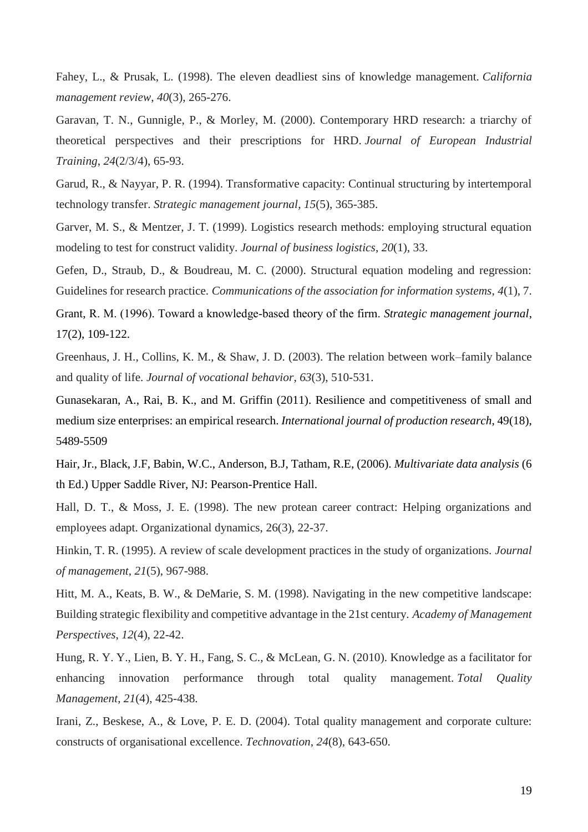Fahey, L., & Prusak, L. (1998). The eleven deadliest sins of knowledge management. *California management review*, *40*(3), 265-276.

Garavan, T. N., Gunnigle, P., & Morley, M. (2000). Contemporary HRD research: a triarchy of theoretical perspectives and their prescriptions for HRD. *Journal of European Industrial Training*, *24*(2/3/4), 65-93.

Garud, R., & Nayyar, P. R. (1994). Transformative capacity: Continual structuring by intertemporal technology transfer. *Strategic management journal*, *15*(5), 365-385.

Garver, M. S., & Mentzer, J. T. (1999). Logistics research methods: employing structural equation modeling to test for construct validity. *Journal of business logistics*, *20*(1), 33.

Gefen, D., Straub, D., & Boudreau, M. C. (2000). Structural equation modeling and regression: Guidelines for research practice. *Communications of the association for information systems*, *4*(1), 7.

Grant, R. M. (1996). Toward a knowledge‐based theory of the firm. *Strategic management journal*, 17(2), 109-122.

Greenhaus, J. H., Collins, K. M., & Shaw, J. D. (2003). The relation between work–family balance and quality of life. *Journal of vocational behavior*, *63*(3), 510-531.

Gunasekaran, A., Rai, B. K., and M. Griffin (2011). Resilience and competitiveness of small and medium size enterprises: an empirical research. *International journal of production research*, 49(18), 5489-5509

Hair, Jr., Black, J.F, Babin, W.C., Anderson, B.J, Tatham, R.E, (2006). *Multivariate data analysis* (6 th Ed.) Upper Saddle River, NJ: Pearson-Prentice Hall.

Hall, D. T., & Moss, J. E. (1998). The new protean career contract: Helping organizations and employees adapt. Organizational dynamics, 26(3), 22-37.

Hinkin, T. R. (1995). A review of scale development practices in the study of organizations. *Journal of management*, *21*(5), 967-988.

Hitt, M. A., Keats, B. W., & DeMarie, S. M. (1998). Navigating in the new competitive landscape: Building strategic flexibility and competitive advantage in the 21st century. *Academy of Management Perspectives*, *12*(4), 22-42.

Hung, R. Y. Y., Lien, B. Y. H., Fang, S. C., & McLean, G. N. (2010). Knowledge as a facilitator for enhancing innovation performance through total quality management. *Total Quality Management*, *21*(4), 425-438.

Irani, Z., Beskese, A., & Love, P. E. D. (2004). Total quality management and corporate culture: constructs of organisational excellence. *Technovation*, *24*(8), 643-650.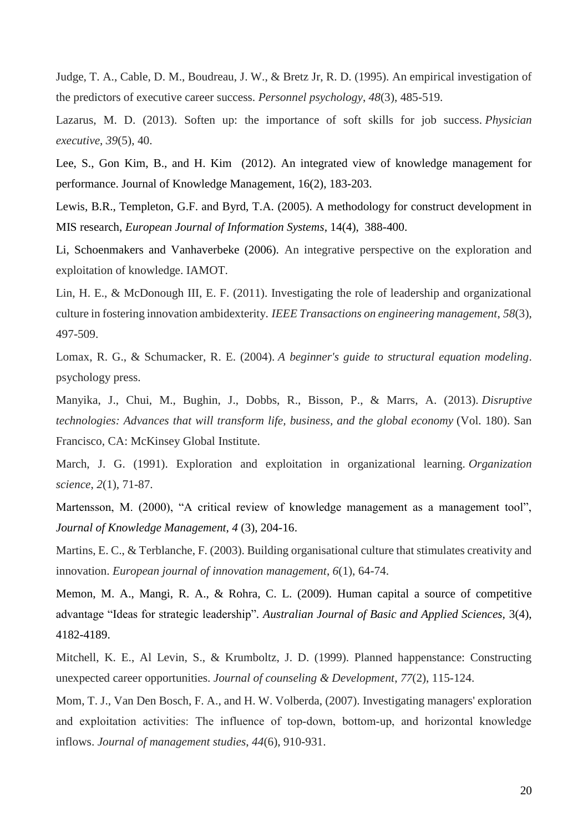Judge, T. A., Cable, D. M., Boudreau, J. W., & Bretz Jr, R. D. (1995). An empirical investigation of the predictors of executive career success. *Personnel psychology*, *48*(3), 485-519.

Lazarus, M. D. (2013). Soften up: the importance of soft skills for job success. *Physician executive*, *39*(5), 40.

Lee, S., Gon Kim, B., and H. Kim (2012). An integrated view of knowledge management for performance. Journal of Knowledge Management, 16(2), 183-203.

Lewis, B.R., Templeton, G.F. and Byrd, T.A. (2005). A methodology for construct development in MIS research, *European Journal of Information Systems*, 14(4), 388-400.

Li, Schoenmakers and Vanhaverbeke (2006). An integrative perspective on the exploration and exploitation of knowledge. IAMOT.

Lin, H. E., & McDonough III, E. F. (2011). Investigating the role of leadership and organizational culture in fostering innovation ambidexterity. *IEEE Transactions on engineering management*, *58*(3), 497-509.

Lomax, R. G., & Schumacker, R. E. (2004). *A beginner's guide to structural equation modeling*. psychology press.

Manyika, J., Chui, M., Bughin, J., Dobbs, R., Bisson, P., & Marrs, A. (2013). *Disruptive technologies: Advances that will transform life, business, and the global economy* (Vol. 180). San Francisco, CA: McKinsey Global Institute.

March, J. G. (1991). Exploration and exploitation in organizational learning. *Organization science*, *2*(1), 71-87.

Martensson, M. (2000), "A critical review of knowledge management as a management tool", *Journal of Knowledge Management*, *4* (3), 204-16.

Martins, E. C., & Terblanche, F. (2003). Building organisational culture that stimulates creativity and innovation. *European journal of innovation management*, *6*(1), 64-74.

Memon, M. A., Mangi, R. A., & Rohra, C. L. (2009). Human capital a source of competitive advantage "Ideas for strategic leadership"*. Australian Journal of Basic and Applied Sciences,* 3(4), 4182-4189.

Mitchell, K. E., Al Levin, S., & Krumboltz, J. D. (1999). Planned happenstance: Constructing unexpected career opportunities. *Journal of counseling & Development*, *77*(2), 115-124.

Mom, T. J., Van Den Bosch, F. A., and H. W. Volberda, (2007). Investigating managers' exploration and exploitation activities: The influence of top‐down, bottom‐up, and horizontal knowledge inflows. *Journal of management studies*, *44*(6), 910-931.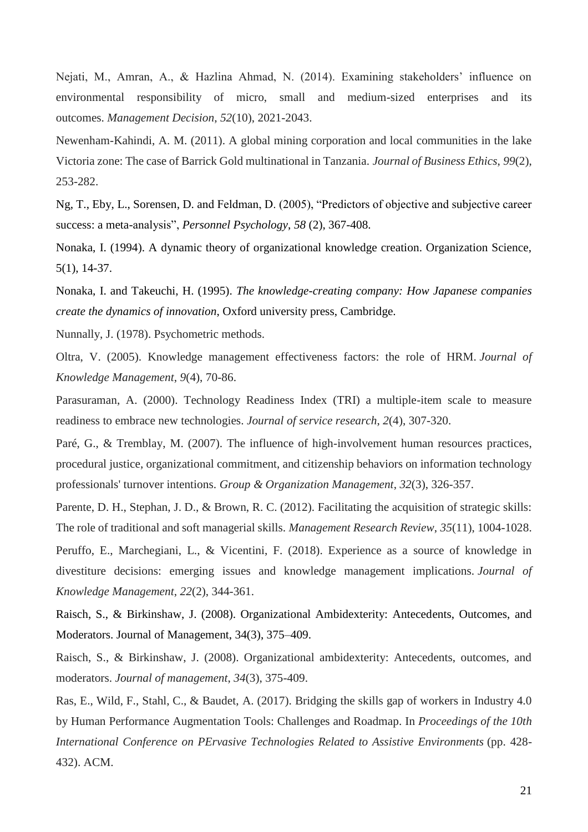Nejati, M., Amran, A., & Hazlina Ahmad, N. (2014). Examining stakeholders' influence on environmental responsibility of micro, small and medium-sized enterprises and its outcomes. *Management Decision*, *52*(10), 2021-2043.

Newenham-Kahindi, A. M. (2011). A global mining corporation and local communities in the lake Victoria zone: The case of Barrick Gold multinational in Tanzania. *Journal of Business Ethics*, *99*(2), 253-282.

Ng, T., Eby, L., Sorensen, D. and Feldman, D. (2005), "Predictors of objective and subjective career success: a meta-analysis", *Personnel Psychology*, *58* (2), 367-408.

Nonaka, I. (1994). A dynamic theory of organizational knowledge creation. Organization Science, 5(1), 14-37.

Nonaka, I. and Takeuchi, H. (1995). *The knowledge-creating company: How Japanese companies create the dynamics of innovation*, Oxford university press, Cambridge.

Nunnally, J. (1978). Psychometric methods.

Oltra, V. (2005). Knowledge management effectiveness factors: the role of HRM. *Journal of Knowledge Management*, *9*(4), 70-86.

Parasuraman, A. (2000). Technology Readiness Index (TRI) a multiple-item scale to measure readiness to embrace new technologies. *Journal of service research*, *2*(4), 307-320.

Paré, G., & Tremblay, M. (2007). The influence of high-involvement human resources practices, procedural justice, organizational commitment, and citizenship behaviors on information technology professionals' turnover intentions. *Group & Organization Management*, *32*(3), 326-357.

Parente, D. H., Stephan, J. D., & Brown, R. C. (2012). Facilitating the acquisition of strategic skills: The role of traditional and soft managerial skills. *Management Research Review*, *35*(11), 1004-1028.

Peruffo, E., Marchegiani, L., & Vicentini, F. (2018). Experience as a source of knowledge in divestiture decisions: emerging issues and knowledge management implications. *Journal of Knowledge Management*, *22*(2), 344-361.

Raisch, S., & Birkinshaw, J. (2008). Organizational Ambidexterity: Antecedents, Outcomes, and Moderators. Journal of Management, 34(3), 375–409.

Raisch, S., & Birkinshaw, J. (2008). Organizational ambidexterity: Antecedents, outcomes, and moderators. *Journal of management*, *34*(3), 375-409.

Ras, E., Wild, F., Stahl, C., & Baudet, A. (2017). Bridging the skills gap of workers in Industry 4.0 by Human Performance Augmentation Tools: Challenges and Roadmap. In *Proceedings of the 10th International Conference on PErvasive Technologies Related to Assistive Environments* (pp. 428- 432). ACM.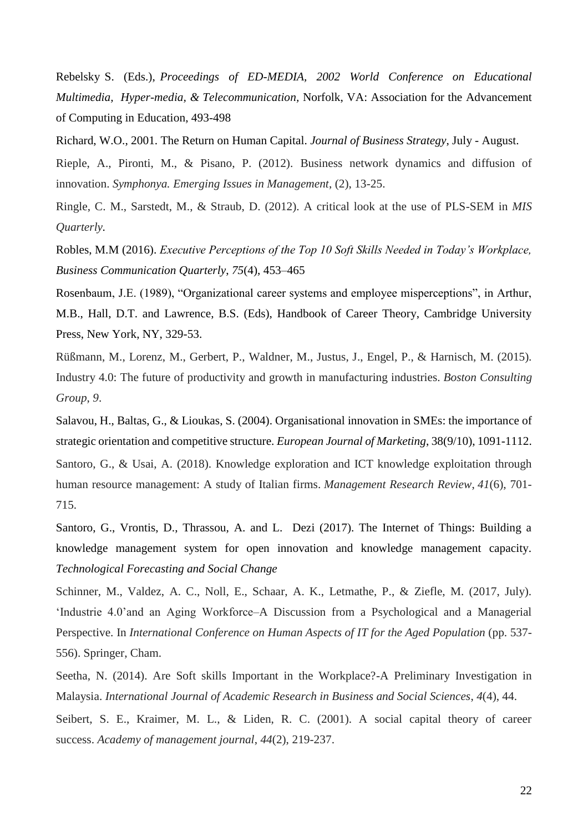Rebelsky S. (Eds.), *Proceedings of ED-MEDIA, 2002 World Conference on Educational Multimedia, Hyper-media, & Telecommunication,* Norfolk, VA: Association for the Advancement of Computing in Education, 493-498

Richard, W.O., 2001. The Return on Human Capital. *Journal of Business Strategy*, July - August.

Rieple, A., Pironti, M., & Pisano, P. (2012). Business network dynamics and diffusion of innovation. *Symphonya. Emerging Issues in Management*, (2), 13-25.

Ringle, C. M., Sarstedt, M., & Straub, D. (2012). A critical look at the use of PLS-SEM in *MIS Quarterly.*

Robles, M.M (2016). *Executive Perceptions of the Top 10 Soft Skills Needed in Today's Workplace, Business Communication Quarterly*, *75*(4), 453–465

Rosenbaum, J.E. (1989), "Organizational career systems and employee misperceptions", in Arthur, M.B., Hall, D.T. and Lawrence, B.S. (Eds), Handbook of Career Theory, Cambridge University Press, New York, NY, 329-53.

Rüßmann, M., Lorenz, M., Gerbert, P., Waldner, M., Justus, J., Engel, P., & Harnisch, M. (2015). Industry 4.0: The future of productivity and growth in manufacturing industries. *Boston Consulting Group*, *9*.

Salavou, H., Baltas, G., & Lioukas, S. (2004). Organisational innovation in SMEs: the importance of strategic orientation and competitive structure. *European Journal of Marketing*, 38(9/10), 1091-1112.

Santoro, G., & Usai, A. (2018). Knowledge exploration and ICT knowledge exploitation through human resource management: A study of Italian firms. *Management Research Review*, *41*(6), 701- 715.

Santoro, G., Vrontis, D., Thrassou, A. and L. Dezi (2017). The Internet of Things: Building a knowledge management system for open innovation and knowledge management capacity. *Technological Forecasting and Social Change*

Schinner, M., Valdez, A. C., Noll, E., Schaar, A. K., Letmathe, P., & Ziefle, M. (2017, July). 'Industrie 4.0'and an Aging Workforce–A Discussion from a Psychological and a Managerial Perspective. In *International Conference on Human Aspects of IT for the Aged Population* (pp. 537- 556). Springer, Cham.

Seetha, N. (2014). Are Soft skills Important in the Workplace?-A Preliminary Investigation in Malaysia. *International Journal of Academic Research in Business and Social Sciences*, *4*(4), 44.

Seibert, S. E., Kraimer, M. L., & Liden, R. C. (2001). A social capital theory of career success. *Academy of management journal*, *44*(2), 219-237.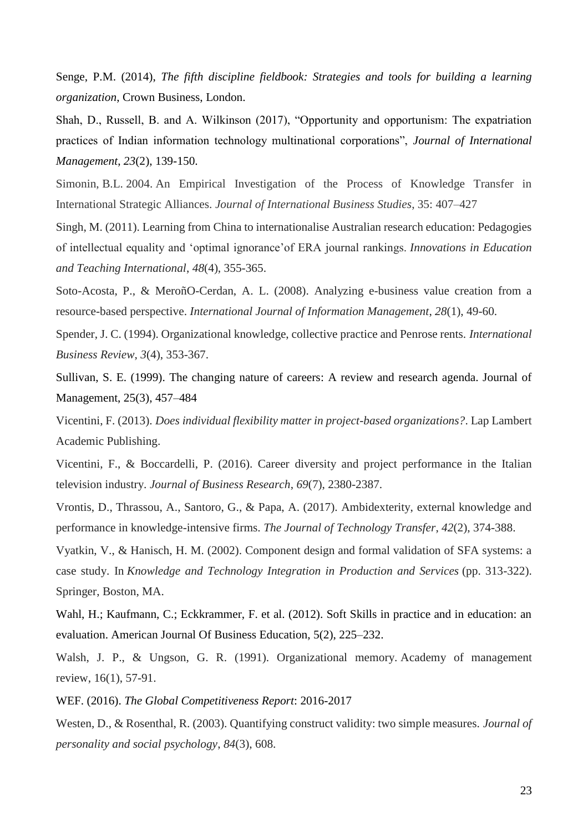Senge, P.M. (2014), *The fifth discipline fieldbook: Strategies and tools for building a learning organization*, Crown Business, London.

Shah, D., Russell, B. and A. Wilkinson (2017), "Opportunity and opportunism: The expatriation practices of Indian information technology multinational corporations", *Journal of International Management*, *23*(2), 139-150.

Simonin, B.L. 2004. An Empirical Investigation of the Process of Knowledge Transfer in International Strategic Alliances. *Journal of International Business Studies*, 35: 407–427

Singh, M. (2011). Learning from China to internationalise Australian research education: Pedagogies of intellectual equality and 'optimal ignorance'of ERA journal rankings. *Innovations in Education and Teaching International*, *48*(4), 355-365.

Soto-Acosta, P., & MeroñO-Cerdan, A. L. (2008). Analyzing e-business value creation from a resource-based perspective. *International Journal of Information Management*, *28*(1), 49-60.

Spender, J. C. (1994). Organizational knowledge, collective practice and Penrose rents. *International Business Review*, *3*(4), 353-367.

Sullivan, S. E. (1999). The changing nature of careers: A review and research agenda. Journal of Management, 25(3), 457–484

Vicentini, F. (2013). *Does individual flexibility matter in project-based organizations?*. Lap Lambert Academic Publishing.

Vicentini, F., & Boccardelli, P. (2016). Career diversity and project performance in the Italian television industry. *Journal of Business Research*, *69*(7), 2380-2387.

Vrontis, D., Thrassou, A., Santoro, G., & Papa, A. (2017). Ambidexterity, external knowledge and performance in knowledge-intensive firms. *The Journal of Technology Transfer*, *42*(2), 374-388.

Vyatkin, V., & Hanisch, H. M. (2002). Component design and formal validation of SFA systems: a case study. In *Knowledge and Technology Integration in Production and Services* (pp. 313-322). Springer, Boston, MA.

Wahl, H.; Kaufmann, C.; Eckkrammer, F. et al. (2012). Soft Skills in practice and in education: an evaluation. American Journal Of Business Education, 5(2), 225–232.

Walsh, J. P., & Ungson, G. R. (1991). Organizational memory. Academy of management review, 16(1), 57-91.

WEF. (2016). *The Global Competitiveness Report*: 2016-2017

Westen, D., & Rosenthal, R. (2003). Quantifying construct validity: two simple measures. *Journal of personality and social psychology*, *84*(3), 608.